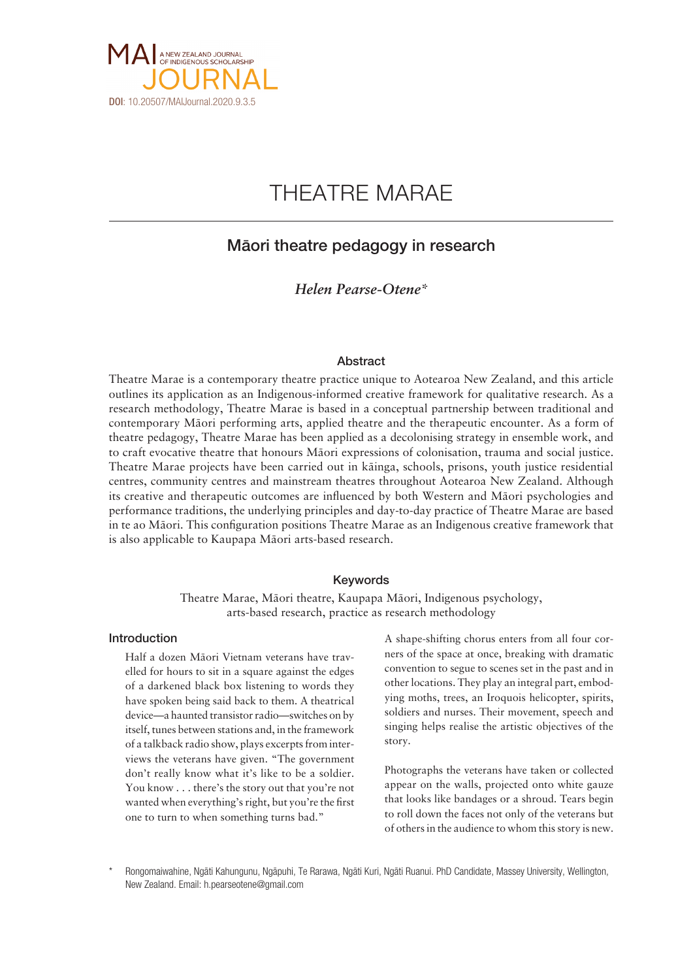

# THEATRE MARAE

### Mäori theatre pedagogy in research

### *Helen Pearse-Otene\**

#### Abstract

Theatre Marae is a contemporary theatre practice unique to Aotearoa New Zealand, and this article outlines its application as an Indigenous-informed creative framework for qualitative research. As a research methodology, Theatre Marae is based in a conceptual partnership between traditional and contemporary Mäori performing arts, applied theatre and the therapeutic encounter. As a form of theatre pedagogy, Theatre Marae has been applied as a decolonising strategy in ensemble work, and to craft evocative theatre that honours Mäori expressions of colonisation, trauma and social justice. Theatre Marae projects have been carried out in käinga, schools, prisons, youth justice residential centres, community centres and mainstream theatres throughout Aotearoa New Zealand. Although its creative and therapeutic outcomes are influenced by both Western and Mäori psychologies and performance traditions, the underlying principles and day-to-day practice of Theatre Marae are based in te ao Mäori. This configuration positions Theatre Marae as an Indigenous creative framework that is also applicable to Kaupapa Mäori arts-based research.

#### Keywords

Theatre Marae, Mäori theatre, Kaupapa Mäori, Indigenous psychology, arts-based research, practice as research methodology

#### Introduction

Half a dozen Mäori Vietnam veterans have travelled for hours to sit in a square against the edges of a darkened black box listening to words they have spoken being said back to them. A theatrical device—a haunted transistor radio—switches on by itself, tunes between stations and, in the framework of a talkback radio show, plays excerpts from interviews the veterans have given. "The government don't really know what it's like to be a soldier. You know . . . there's the story out that you're not wanted when everything's right, but you're the first one to turn to when something turns bad."

A shape-shifting chorus enters from all four corners of the space at once, breaking with dramatic convention to segue to scenes set in the past and in other locations. They play an integral part, embodying moths, trees, an Iroquois helicopter, spirits, soldiers and nurses. Their movement, speech and singing helps realise the artistic objectives of the story.

Photographs the veterans have taken or collected appear on the walls, projected onto white gauze that looks like bandages or a shroud. Tears begin to roll down the faces not only of the veterans but of others in the audience to whom this story is new.

\* Rongomaiwahine, Ngäti Kahungunu, Ngäpuhi, Te Rarawa, Ngäti Kuri, Ngäti Ruanui. PhD Candidate, Massey University, Wellington, New Zealand. Email: h.pearseotene@gmail.com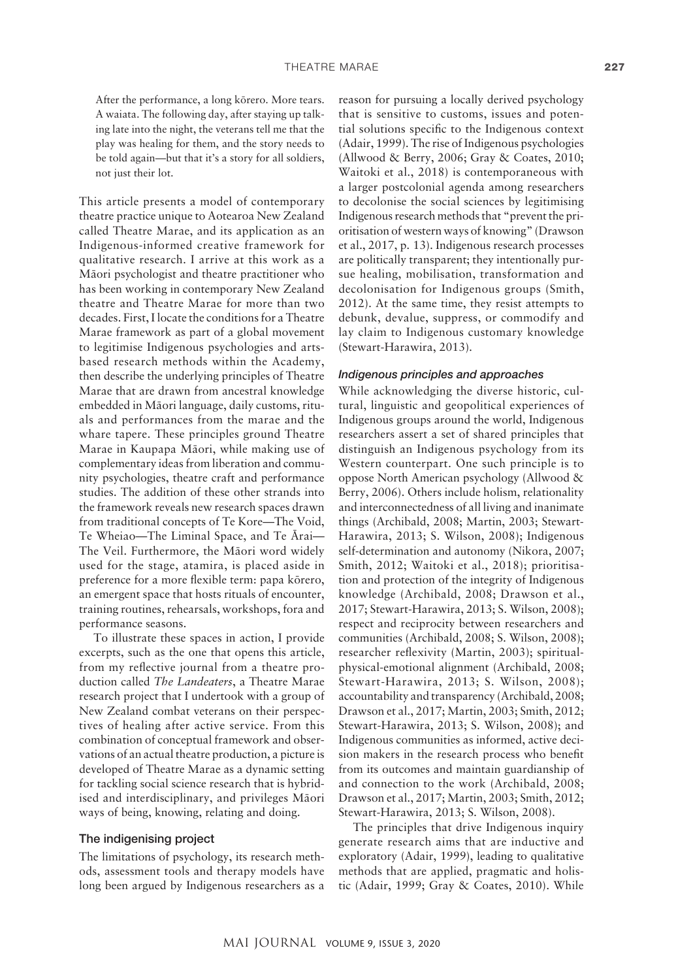After the performance, a long körero. More tears. A waiata. The following day, after staying up talking late into the night, the veterans tell me that the play was healing for them, and the story needs to be told again—but that it's a story for all soldiers, not just their lot.

This article presents a model of contemporary theatre practice unique to Aotearoa New Zealand called Theatre Marae, and its application as an Indigenous-informed creative framework for qualitative research. I arrive at this work as a Mäori psychologist and theatre practitioner who has been working in contemporary New Zealand theatre and Theatre Marae for more than two decades. First, I locate the conditions for a Theatre Marae framework as part of a global movement to legitimise Indigenous psychologies and artsbased research methods within the Academy, then describe the underlying principles of Theatre Marae that are drawn from ancestral knowledge embedded in Mäori language, daily customs, rituals and performances from the marae and the whare tapere. These principles ground Theatre Marae in Kaupapa Mäori, while making use of complementary ideas from liberation and community psychologies, theatre craft and performance studies. The addition of these other strands into the framework reveals new research spaces drawn from traditional concepts of Te Kore—The Void, Te Wheiao—The Liminal Space, and Te Ärai— The Veil. Furthermore, the Mäori word widely used for the stage, atamira, is placed aside in preference for a more flexible term: papa körero, an emergent space that hosts rituals of encounter, training routines, rehearsals, workshops, fora and performance seasons.

To illustrate these spaces in action, I provide excerpts, such as the one that opens this article, from my reflective journal from a theatre production called *The Landeaters*, a Theatre Marae research project that I undertook with a group of New Zealand combat veterans on their perspectives of healing after active service. From this combination of conceptual framework and observations of an actual theatre production, a picture is developed of Theatre Marae as a dynamic setting for tackling social science research that is hybridised and interdisciplinary, and privileges Mäori ways of being, knowing, relating and doing.

#### The indigenising project

The limitations of psychology, its research methods, assessment tools and therapy models have long been argued by Indigenous researchers as a

reason for pursuing a locally derived psychology that is sensitive to customs, issues and potential solutions specific to the Indigenous context (Adair, 1999). The rise of Indigenous psychologies (Allwood & Berry, 2006; Gray & Coates, 2010; Waitoki et al., 2018) is contemporaneous with a larger postcolonial agenda among researchers to decolonise the social sciences by legitimising Indigenous research methods that "prevent the prioritisation of western ways of knowing" (Drawson et al., 2017, p. 13). Indigenous research processes are politically transparent; they intentionally pursue healing, mobilisation, transformation and decolonisation for Indigenous groups (Smith, 2012). At the same time, they resist attempts to debunk, devalue, suppress, or commodify and lay claim to Indigenous customary knowledge (Stewart-Harawira, 2013).

#### *Indigenous principles and approaches*

While acknowledging the diverse historic, cultural, linguistic and geopolitical experiences of Indigenous groups around the world, Indigenous researchers assert a set of shared principles that distinguish an Indigenous psychology from its Western counterpart. One such principle is to oppose North American psychology (Allwood & Berry, 2006). Others include holism, relationality and interconnectedness of all living and inanimate things (Archibald, 2008; Martin, 2003; Stewart-Harawira, 2013; S. Wilson, 2008); Indigenous self-determination and autonomy (Nikora, 2007; Smith, 2012; Waitoki et al., 2018); prioritisation and protection of the integrity of Indigenous knowledge (Archibald, 2008; Drawson et al., 2017; Stewart-Harawira, 2013; S. Wilson, 2008); respect and reciprocity between researchers and communities (Archibald, 2008; S. Wilson, 2008); researcher reflexivity (Martin, 2003); spiritualphysical-emotional alignment (Archibald, 2008; Stewart-Harawira, 2013; S. Wilson, 2008); accountability and transparency (Archibald, 2008; Drawson et al., 2017; Martin, 2003; Smith, 2012; Stewart-Harawira, 2013; S. Wilson, 2008); and Indigenous communities as informed, active decision makers in the research process who benefit from its outcomes and maintain guardianship of and connection to the work (Archibald, 2008; Drawson et al., 2017; Martin, 2003; Smith, 2012; Stewart-Harawira, 2013; S. Wilson, 2008).

The principles that drive Indigenous inquiry generate research aims that are inductive and exploratory (Adair, 1999), leading to qualitative methods that are applied, pragmatic and holistic (Adair, 1999; Gray & Coates, 2010). While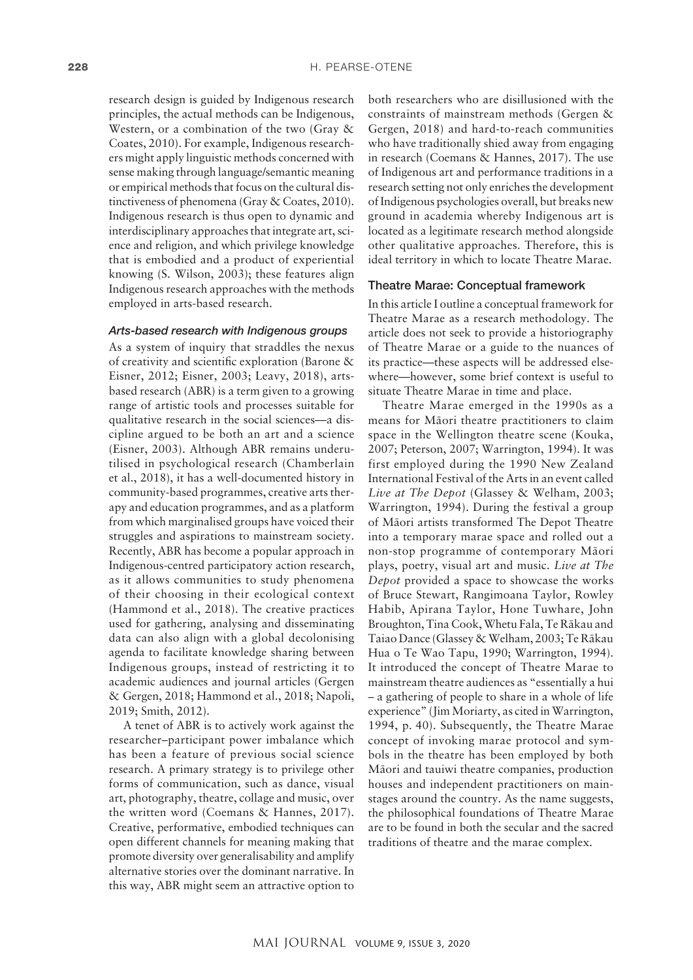research design is guided by Indigenous research principles, the actual methods can be Indigenous, Western, or a combination of the two (Gray & Coates, 2010). For example, Indigenous researchers might apply linguistic methods concerned with sense making through language/semantic meaning or empirical methods that focus on the cultural distinctiveness of phenomena (Gray & Coates, 2010). Indigenous research is thus open to dynamic and interdisciplinary approaches that integrate art, science and religion, and which privilege knowledge that is embodied and a product of experiential knowing (S. Wilson, 2003); these features align Indigenous research approaches with the methods employed in arts-based research.

#### *Arts-based research with Indigenous groups*

As a system of inquiry that straddles the nexus of creativity and scientific exploration (Barone & Eisner, 2012; Eisner, 2003; Leavy, 2018), artsbased research (ABR) is a term given to a growing range of artistic tools and processes suitable for qualitative research in the social sciences—a discipline argued to be both an art and a science (Eisner, 2003). Although ABR remains underutilised in psychological research (Chamberlain et al., 2018), it has a well-documented history in community-based programmes, creative arts therapy and education programmes, and as a platform from which marginalised groups have voiced their struggles and aspirations to mainstream society. Recently, ABR has become a popular approach in Indigenous-centred participatory action research, as it allows communities to study phenomena of their choosing in their ecological context (Hammond et al., 2018). The creative practices used for gathering, analysing and disseminating data can also align with a global decolonising agenda to facilitate knowledge sharing between Indigenous groups, instead of restricting it to academic audiences and journal articles (Gergen & Gergen, 2018; Hammond et al., 2018; Napoli, 2019; Smith, 2012).

A tenet of ABR is to actively work against the researcher–participant power imbalance which has been a feature of previous social science research. A primary strategy is to privilege other forms of communication, such as dance, visual art, photography, theatre, collage and music, over the written word (Coemans & Hannes, 2017). Creative, performative, embodied techniques can open different channels for meaning making that promote diversity over generalisability and amplify alternative stories over the dominant narrative. In this way, ABR might seem an attractive option to

both researchers who are disillusioned with the constraints of mainstream methods (Gergen & Gergen, 2018) and hard-to-reach communities who have traditionally shied away from engaging in research (Coemans & Hannes, 2017). The use of Indigenous art and performance traditions in a research setting not only enriches the development of Indigenous psychologies overall, but breaks new ground in academia whereby Indigenous art is located as a legitimate research method alongside other qualitative approaches. Therefore, this is ideal territory in which to locate Theatre Marae.

### Theatre Marae: Conceptual framework

In this article I outline a conceptual framework for Theatre Marae as a research methodology. The article does not seek to provide a historiography of Theatre Marae or a guide to the nuances of its practice—these aspects will be addressed elsewhere—however, some brief context is useful to situate Theatre Marae in time and place.

Theatre Marae emerged in the 1990s as a means for Mäori theatre practitioners to claim space in the Wellington theatre scene (Kouka, 2007; Peterson, 2007; Warrington, 1994). It was first employed during the 1990 New Zealand International Festival of the Arts in an event called *Live at The Depot* (Glassey & Welham, 2003; Warrington, 1994). During the festival a group of Mäori artists transformed The Depot Theatre into a temporary marae space and rolled out a non-stop programme of contemporary Mäori plays, poetry, visual art and music. *Live at The Depot* provided a space to showcase the works of Bruce Stewart, Rangimoana Taylor, Rowley Habib, Apirana Taylor, Hone Tuwhare, John Broughton, Tina Cook, Whetu Fala, Te Räkau and Taiao Dance (Glassey & Welham, 2003; Te Räkau Hua o Te Wao Tapu, 1990; Warrington, 1994). It introduced the concept of Theatre Marae to mainstream theatre audiences as "essentially a hui – a gathering of people to share in a whole of life experience" (Jim Moriarty, as cited in Warrington, 1994, p. 40). Subsequently, the Theatre Marae concept of invoking marae protocol and symbols in the theatre has been employed by both Mäori and tauiwi theatre companies, production houses and independent practitioners on mainstages around the country. As the name suggests, the philosophical foundations of Theatre Marae are to be found in both the secular and the sacred traditions of theatre and the marae complex.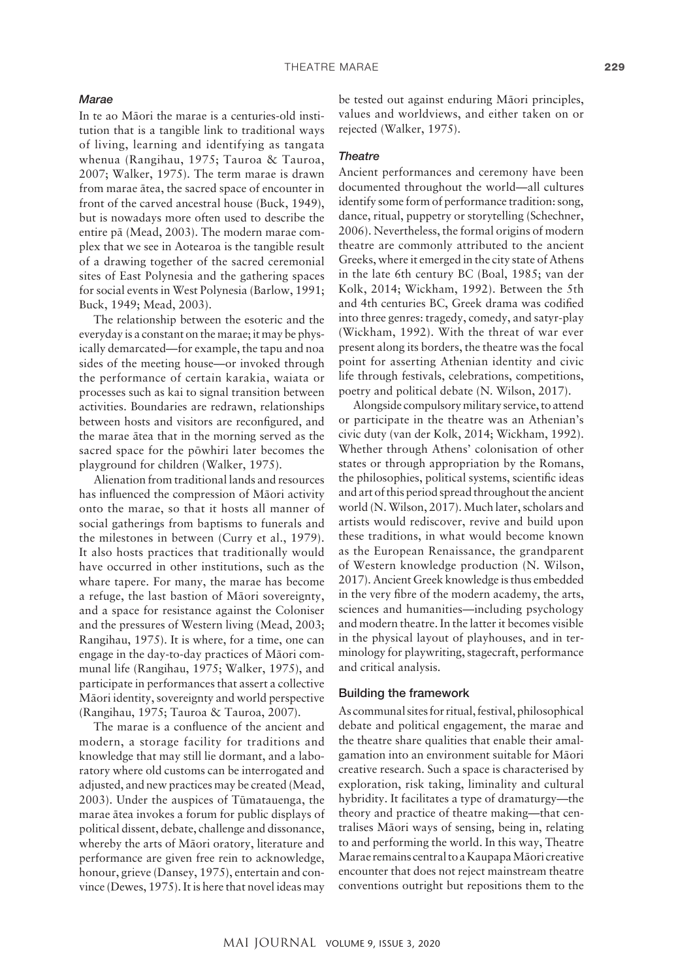#### *Marae*

In te ao Mäori the marae is a centuries-old institution that is a tangible link to traditional ways of living, learning and identifying as tangata whenua (Rangihau, 1975; Tauroa & Tauroa, 2007; Walker, 1975). The term marae is drawn from marae ätea, the sacred space of encounter in front of the carved ancestral house (Buck, 1949), but is nowadays more often used to describe the entire pä (Mead, 2003). The modern marae complex that we see in Aotearoa is the tangible result of a drawing together of the sacred ceremonial sites of East Polynesia and the gathering spaces for social events in West Polynesia (Barlow, 1991; Buck, 1949; Mead, 2003).

The relationship between the esoteric and the everyday is a constant on the marae; it may be physically demarcated—for example, the tapu and noa sides of the meeting house—or invoked through the performance of certain karakia, waiata or processes such as kai to signal transition between activities. Boundaries are redrawn, relationships between hosts and visitors are reconfigured, and the marae ätea that in the morning served as the sacred space for the pöwhiri later becomes the playground for children (Walker, 1975).

Alienation from traditional lands and resources has influenced the compression of Mäori activity onto the marae, so that it hosts all manner of social gatherings from baptisms to funerals and the milestones in between (Curry et al., 1979). It also hosts practices that traditionally would have occurred in other institutions, such as the whare tapere. For many, the marae has become a refuge, the last bastion of Mäori sovereignty, and a space for resistance against the Coloniser and the pressures of Western living (Mead, 2003; Rangihau, 1975). It is where, for a time, one can engage in the day-to-day practices of Mäori communal life (Rangihau, 1975; Walker, 1975), and participate in performances that assert a collective Mäori identity, sovereignty and world perspective (Rangihau, 1975; Tauroa & Tauroa, 2007).

The marae is a confluence of the ancient and modern, a storage facility for traditions and knowledge that may still lie dormant, and a laboratory where old customs can be interrogated and adjusted, and new practices may be created (Mead, 2003). Under the auspices of Tümatauenga, the marae ätea invokes a forum for public displays of political dissent, debate, challenge and dissonance, whereby the arts of Mäori oratory, literature and performance are given free rein to acknowledge, honour, grieve (Dansey, 1975), entertain and convince (Dewes, 1975). It is here that novel ideas may be tested out against enduring Mäori principles, values and worldviews, and either taken on or rejected (Walker, 1975).

#### *Theatre*

Ancient performances and ceremony have been documented throughout the world—all cultures identify some form of performance tradition: song, dance, ritual, puppetry or storytelling (Schechner, 2006). Nevertheless, the formal origins of modern theatre are commonly attributed to the ancient Greeks, where it emerged in the city state of Athens in the late 6th century BC (Boal, 1985; van der Kolk, 2014; Wickham, 1992). Between the 5th and 4th centuries BC, Greek drama was codified into three genres: tragedy, comedy, and satyr-play (Wickham, 1992). With the threat of war ever present along its borders, the theatre was the focal point for asserting Athenian identity and civic life through festivals, celebrations, competitions, poetry and political debate (N. Wilson, 2017).

Alongside compulsory military service, to attend or participate in the theatre was an Athenian's civic duty (van der Kolk, 2014; Wickham, 1992). Whether through Athens' colonisation of other states or through appropriation by the Romans, the philosophies, political systems, scientific ideas and art of this period spread throughout the ancient world (N. Wilson, 2017). Much later, scholars and artists would rediscover, revive and build upon these traditions, in what would become known as the European Renaissance, the grandparent of Western knowledge production (N. Wilson, 2017). Ancient Greek knowledge is thus embedded in the very fibre of the modern academy, the arts, sciences and humanities—including psychology and modern theatre. In the latter it becomes visible in the physical layout of playhouses, and in terminology for playwriting, stagecraft, performance and critical analysis.

#### Building the framework

As communal sites for ritual, festival, philosophical debate and political engagement, the marae and the theatre share qualities that enable their amalgamation into an environment suitable for Mäori creative research. Such a space is characterised by exploration, risk taking, liminality and cultural hybridity. It facilitates a type of dramaturgy—the theory and practice of theatre making—that centralises Mäori ways of sensing, being in, relating to and performing the world. In this way, Theatre Marae remains central to a Kaupapa Mäori creative encounter that does not reject mainstream theatre conventions outright but repositions them to the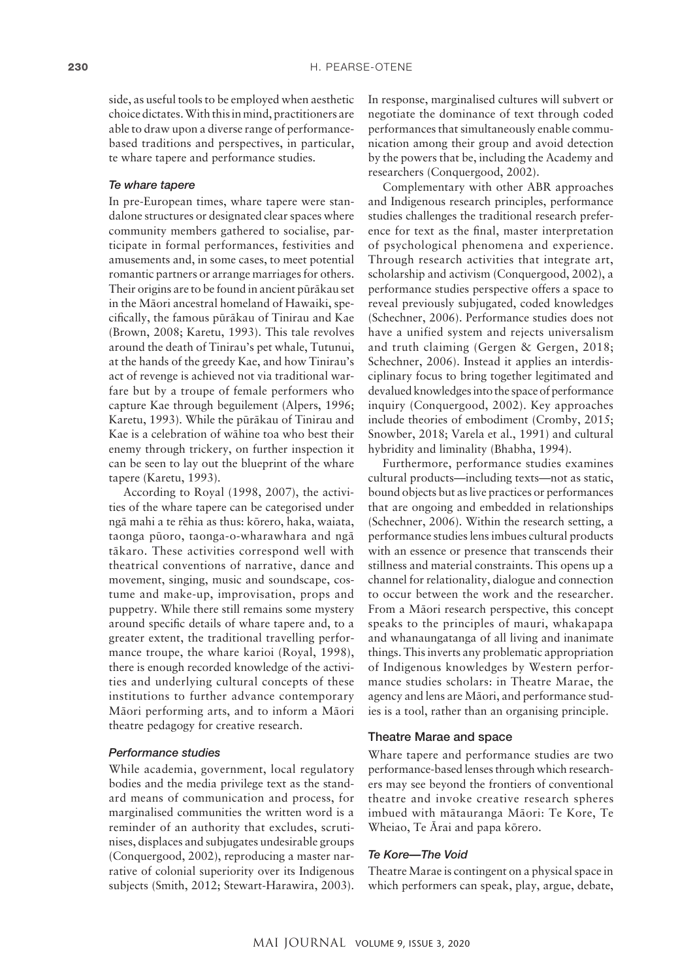side, as useful tools to be employed when aesthetic choice dictates. With this in mind, practitioners are able to draw upon a diverse range of performancebased traditions and perspectives, in particular, te whare tapere and performance studies.

#### *Te whare tapere*

In pre-European times, whare tapere were standalone structures or designated clear spaces where community members gathered to socialise, participate in formal performances, festivities and amusements and, in some cases, to meet potential romantic partners or arrange marriages for others. Their origins are to be found in ancient püräkau set in the Mäori ancestral homeland of Hawaiki, specifically, the famous püräkau of Tinirau and Kae (Brown, 2008; Karetu, 1993). This tale revolves around the death of Tinirau's pet whale, Tutunui, at the hands of the greedy Kae, and how Tinirau's act of revenge is achieved not via traditional warfare but by a troupe of female performers who capture Kae through beguilement (Alpers, 1996; Karetu, 1993). While the püräkau of Tinirau and Kae is a celebration of wähine toa who best their enemy through trickery, on further inspection it can be seen to lay out the blueprint of the whare tapere (Karetu, 1993).

According to Royal (1998, 2007), the activities of the whare tapere can be categorised under ngä mahi a te rëhia as thus: körero, haka, waiata, taonga püoro, taonga-o-wharawhara and ngä täkaro. These activities correspond well with theatrical conventions of narrative, dance and movement, singing, music and soundscape, costume and make-up, improvisation, props and puppetry. While there still remains some mystery around specific details of whare tapere and, to a greater extent, the traditional travelling performance troupe, the whare karioi (Royal, 1998), there is enough recorded knowledge of the activities and underlying cultural concepts of these institutions to further advance contemporary Mäori performing arts, and to inform a Mäori theatre pedagogy for creative research.

#### *Performance studies*

While academia, government, local regulatory bodies and the media privilege text as the standard means of communication and process, for marginalised communities the written word is a reminder of an authority that excludes, scrutinises, displaces and subjugates undesirable groups (Conquergood, 2002), reproducing a master narrative of colonial superiority over its Indigenous subjects (Smith, 2012; Stewart-Harawira, 2003).

In response, marginalised cultures will subvert or negotiate the dominance of text through coded performances that simultaneously enable communication among their group and avoid detection by the powers that be, including the Academy and researchers (Conquergood, 2002).

Complementary with other ABR approaches and Indigenous research principles, performance studies challenges the traditional research preference for text as the final, master interpretation of psychological phenomena and experience. Through research activities that integrate art, scholarship and activism (Conquergood, 2002), a performance studies perspective offers a space to reveal previously subjugated, coded knowledges (Schechner, 2006). Performance studies does not have a unified system and rejects universalism and truth claiming (Gergen & Gergen, 2018; Schechner, 2006). Instead it applies an interdisciplinary focus to bring together legitimated and devalued knowledges into the space of performance inquiry (Conquergood, 2002). Key approaches include theories of embodiment (Cromby, 2015; Snowber, 2018; Varela et al., 1991) and cultural hybridity and liminality (Bhabha, 1994).

Furthermore, performance studies examines cultural products—including texts—not as static, bound objects but as live practices or performances that are ongoing and embedded in relationships (Schechner, 2006). Within the research setting, a performance studies lens imbues cultural products with an essence or presence that transcends their stillness and material constraints. This opens up a channel for relationality, dialogue and connection to occur between the work and the researcher. From a Mäori research perspective, this concept speaks to the principles of mauri, whakapapa and whanaungatanga of all living and inanimate things. This inverts any problematic appropriation of Indigenous knowledges by Western performance studies scholars: in Theatre Marae, the agency and lens are Mäori, and performance studies is a tool, rather than an organising principle.

#### Theatre Marae and space

Whare tapere and performance studies are two performance-based lenses through which researchers may see beyond the frontiers of conventional theatre and invoke creative research spheres imbued with mätauranga Mäori: Te Kore, Te Wheiao, Te Ärai and papa körero.

#### *Te Kore—The Void*

Theatre Marae is contingent on a physical space in which performers can speak, play, argue, debate,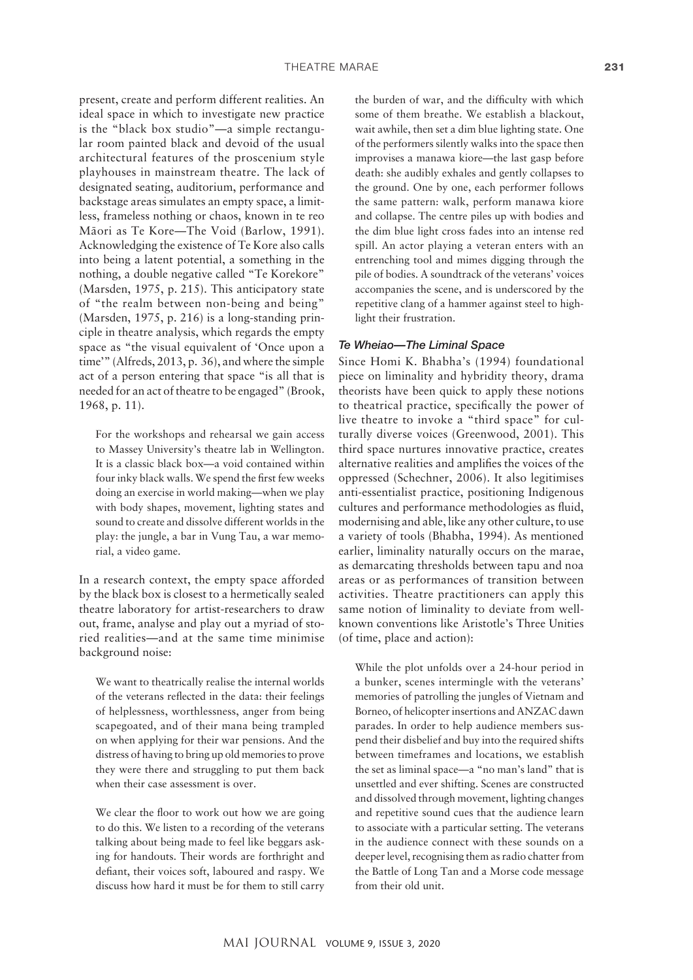present, create and perform different realities. An ideal space in which to investigate new practice is the "black box studio"—a simple rectangular room painted black and devoid of the usual architectural features of the proscenium style playhouses in mainstream theatre. The lack of designated seating, auditorium, performance and backstage areas simulates an empty space, a limitless, frameless nothing or chaos, known in te reo Mäori as Te Kore—The Void (Barlow, 1991). Acknowledging the existence of Te Kore also calls into being a latent potential, a something in the nothing, a double negative called "Te Korekore" (Marsden, 1975, p. 215). This anticipatory state of "the realm between non-being and being" (Marsden, 1975, p. 216) is a long-standing principle in theatre analysis, which regards the empty space as "the visual equivalent of 'Once upon a time'" (Alfreds, 2013, p. 36), and where the simple act of a person entering that space "is all that is needed for an act of theatre to be engaged" (Brook, 1968, p. 11).

For the workshops and rehearsal we gain access to Massey University's theatre lab in Wellington. It is a classic black box—a void contained within four inky black walls. We spend the first few weeks doing an exercise in world making—when we play with body shapes, movement, lighting states and sound to create and dissolve different worlds in the play: the jungle, a bar in Vung Tau, a war memorial, a video game.

In a research context, the empty space afforded by the black box is closest to a hermetically sealed theatre laboratory for artist-researchers to draw out, frame, analyse and play out a myriad of storied realities—and at the same time minimise background noise:

We want to theatrically realise the internal worlds of the veterans reflected in the data: their feelings of helplessness, worthlessness, anger from being scapegoated, and of their mana being trampled on when applying for their war pensions. And the distress of having to bring up old memories to prove they were there and struggling to put them back when their case assessment is over.

We clear the floor to work out how we are going to do this. We listen to a recording of the veterans talking about being made to feel like beggars asking for handouts. Their words are forthright and defiant, their voices soft, laboured and raspy. We discuss how hard it must be for them to still carry the burden of war, and the difficulty with which some of them breathe. We establish a blackout, wait awhile, then set a dim blue lighting state. One of the performers silently walks into the space then improvises a manawa kiore—the last gasp before death: she audibly exhales and gently collapses to the ground. One by one, each performer follows the same pattern: walk, perform manawa kiore and collapse. The centre piles up with bodies and the dim blue light cross fades into an intense red spill. An actor playing a veteran enters with an entrenching tool and mimes digging through the pile of bodies. A soundtrack of the veterans' voices accompanies the scene, and is underscored by the repetitive clang of a hammer against steel to highlight their frustration.

#### *Te Wheiao—The Liminal Space*

Since Homi K. Bhabha's (1994) foundational piece on liminality and hybridity theory, drama theorists have been quick to apply these notions to theatrical practice, specifically the power of live theatre to invoke a "third space" for culturally diverse voices (Greenwood, 2001). This third space nurtures innovative practice, creates alternative realities and amplifies the voices of the oppressed (Schechner, 2006). It also legitimises anti-essentialist practice, positioning Indigenous cultures and performance methodologies as fluid, modernising and able, like any other culture, to use a variety of tools (Bhabha, 1994). As mentioned earlier, liminality naturally occurs on the marae, as demarcating thresholds between tapu and noa areas or as performances of transition between activities. Theatre practitioners can apply this same notion of liminality to deviate from wellknown conventions like Aristotle's Three Unities (of time, place and action):

While the plot unfolds over a 24-hour period in a bunker, scenes intermingle with the veterans' memories of patrolling the jungles of Vietnam and Borneo, of helicopter insertions and ANZAC dawn parades. In order to help audience members suspend their disbelief and buy into the required shifts between timeframes and locations, we establish the set as liminal space—a "no man's land" that is unsettled and ever shifting. Scenes are constructed and dissolved through movement, lighting changes and repetitive sound cues that the audience learn to associate with a particular setting. The veterans in the audience connect with these sounds on a deeper level, recognising them as radio chatter from the Battle of Long Tan and a Morse code message from their old unit.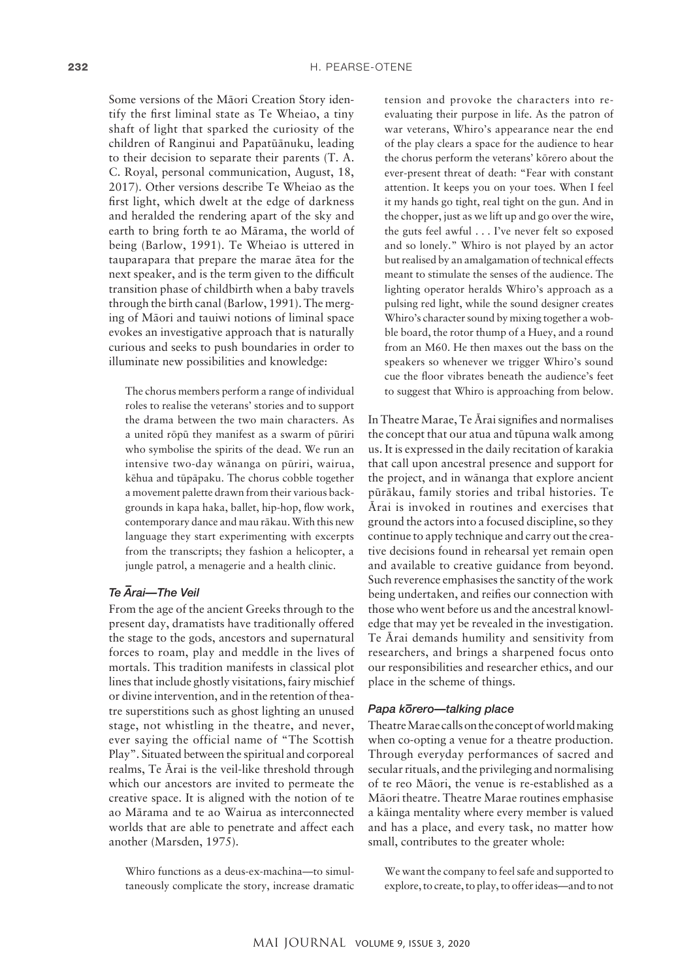Some versions of the Mäori Creation Story identify the first liminal state as Te Wheiao, a tiny shaft of light that sparked the curiosity of the children of Ranginui and Papatüänuku, leading to their decision to separate their parents (T. A. C. Royal, personal communication, August, 18, 2017). Other versions describe Te Wheiao as the first light, which dwelt at the edge of darkness and heralded the rendering apart of the sky and earth to bring forth te ao Märama, the world of being (Barlow, 1991). Te Wheiao is uttered in tauparapara that prepare the marae ätea for the next speaker, and is the term given to the difficult transition phase of childbirth when a baby travels through the birth canal (Barlow, 1991). The merging of Mäori and tauiwi notions of liminal space evokes an investigative approach that is naturally curious and seeks to push boundaries in order to illuminate new possibilities and knowledge:

The chorus members perform a range of individual roles to realise the veterans' stories and to support the drama between the two main characters. As a united röpü they manifest as a swarm of püriri who symbolise the spirits of the dead. We run an intensive two-day wänanga on püriri, wairua, këhua and tüpäpaku. The chorus cobble together a movement palette drawn from their various backgrounds in kapa haka, ballet, hip-hop, flow work, contemporary dance and mau räkau. With this new language they start experimenting with excerpts from the transcripts; they fashion a helicopter, a jungle patrol, a menagerie and a health clinic.

## *Te – Arai—The Veil*

From the age of the ancient Greeks through to the present day, dramatists have traditionally offered the stage to the gods, ancestors and supernatural forces to roam, play and meddle in the lives of mortals. This tradition manifests in classical plot lines that include ghostly visitations, fairy mischief or divine intervention, and in the retention of theatre superstitions such as ghost lighting an unused stage, not whistling in the theatre, and never, ever saying the official name of "The Scottish Play". Situated between the spiritual and corporeal realms, Te Ärai is the veil-like threshold through which our ancestors are invited to permeate the creative space. It is aligned with the notion of te ao Märama and te ao Wairua as interconnected worlds that are able to penetrate and affect each another (Marsden, 1975).

Whiro functions as a deus-ex-machina—to simultaneously complicate the story, increase dramatic

tension and provoke the characters into reevaluating their purpose in life. As the patron of war veterans, Whiro's appearance near the end of the play clears a space for the audience to hear the chorus perform the veterans' körero about the ever-present threat of death: "Fear with constant attention. It keeps you on your toes. When I feel it my hands go tight, real tight on the gun. And in the chopper, just as we lift up and go over the wire, the guts feel awful . . . I've never felt so exposed and so lonely." Whiro is not played by an actor but realised by an amalgamation of technical effects meant to stimulate the senses of the audience. The lighting operator heralds Whiro's approach as a pulsing red light, while the sound designer creates Whiro's character sound by mixing together a wobble board, the rotor thump of a Huey, and a round from an M60. He then maxes out the bass on the speakers so whenever we trigger Whiro's sound cue the floor vibrates beneath the audience's feet to suggest that Whiro is approaching from below.

In Theatre Marae, Te Ärai signifies and normalises the concept that our atua and tüpuna walk among us. It is expressed in the daily recitation of karakia that call upon ancestral presence and support for the project, and in wänanga that explore ancient püräkau, family stories and tribal histories. Te Ärai is invoked in routines and exercises that ground the actors into a focused discipline, so they continue to apply technique and carry out the creative decisions found in rehearsal yet remain open and available to creative guidance from beyond. Such reverence emphasises the sanctity of the work being undertaken, and reifies our connection with those who went before us and the ancestral knowledge that may yet be revealed in the investigation. Te Ärai demands humility and sensitivity from researchers, and brings a sharpened focus onto our responsibilities and researcher ethics, and our place in the scheme of things.

### *Papa k– orero—talking place*

Theatre Marae calls on the concept of world making when co-opting a venue for a theatre production. Through everyday performances of sacred and secular rituals, and the privileging and normalising of te reo Mäori, the venue is re-established as a Mäori theatre. Theatre Marae routines emphasise a käinga mentality where every member is valued and has a place, and every task, no matter how small, contributes to the greater whole:

We want the company to feel safe and supported to explore, to create, to play, to offer ideas—and to not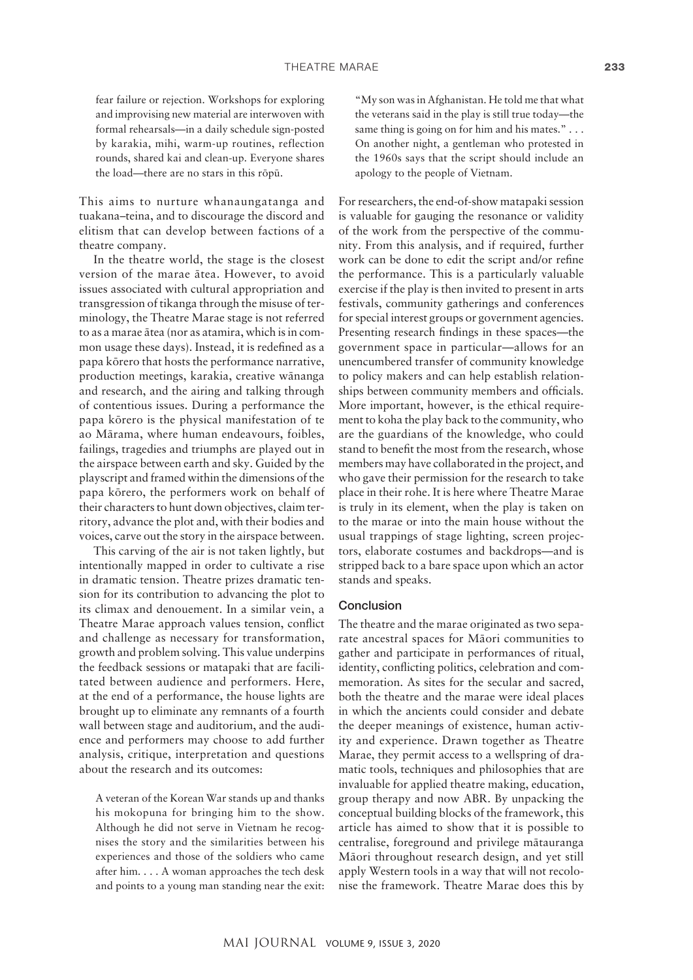fear failure or rejection. Workshops for exploring and improvising new material are interwoven with formal rehearsals—in a daily schedule sign-posted by karakia, mihi, warm-up routines, reflection rounds, shared kai and clean-up. Everyone shares the load—there are no stars in this röpü.

This aims to nurture whanaungatanga and tuakana–teina, and to discourage the discord and elitism that can develop between factions of a theatre company.

In the theatre world, the stage is the closest version of the marae ätea. However, to avoid issues associated with cultural appropriation and transgression of tikanga through the misuse of terminology, the Theatre Marae stage is not referred to as a marae ätea (nor as atamira, which is in common usage these days). Instead, it is redefined as a papa körero that hosts the performance narrative, production meetings, karakia, creative wänanga and research, and the airing and talking through of contentious issues. During a performance the papa körero is the physical manifestation of te ao Märama, where human endeavours, foibles, failings, tragedies and triumphs are played out in the airspace between earth and sky. Guided by the playscript and framed within the dimensions of the papa körero, the performers work on behalf of their characters to hunt down objectives, claim territory, advance the plot and, with their bodies and voices, carve out the story in the airspace between.

This carving of the air is not taken lightly, but intentionally mapped in order to cultivate a rise in dramatic tension. Theatre prizes dramatic tension for its contribution to advancing the plot to its climax and denouement. In a similar vein, a Theatre Marae approach values tension, conflict and challenge as necessary for transformation, growth and problem solving. This value underpins the feedback sessions or matapaki that are facilitated between audience and performers. Here, at the end of a performance, the house lights are brought up to eliminate any remnants of a fourth wall between stage and auditorium, and the audience and performers may choose to add further analysis, critique, interpretation and questions about the research and its outcomes:

A veteran of the Korean War stands up and thanks his mokopuna for bringing him to the show. Although he did not serve in Vietnam he recognises the story and the similarities between his experiences and those of the soldiers who came after him. . . . A woman approaches the tech desk and points to a young man standing near the exit: "My son was in Afghanistan. He told me that what the veterans said in the play is still true today—the same thing is going on for him and his mates." . . . On another night, a gentleman who protested in the 1960s says that the script should include an apology to the people of Vietnam.

For researchers, the end-of-show matapaki session is valuable for gauging the resonance or validity of the work from the perspective of the community. From this analysis, and if required, further work can be done to edit the script and/or refine the performance. This is a particularly valuable exercise if the play is then invited to present in arts festivals, community gatherings and conferences for special interest groups or government agencies. Presenting research findings in these spaces—the government space in particular—allows for an unencumbered transfer of community knowledge to policy makers and can help establish relationships between community members and officials. More important, however, is the ethical requirement to koha the play back to the community, who are the guardians of the knowledge, who could stand to benefit the most from the research, whose members may have collaborated in the project, and who gave their permission for the research to take place in their rohe. It is here where Theatre Marae is truly in its element, when the play is taken on to the marae or into the main house without the usual trappings of stage lighting, screen projectors, elaborate costumes and backdrops—and is stripped back to a bare space upon which an actor stands and speaks.

#### Conclusion

The theatre and the marae originated as two separate ancestral spaces for Mäori communities to gather and participate in performances of ritual, identity, conflicting politics, celebration and commemoration. As sites for the secular and sacred, both the theatre and the marae were ideal places in which the ancients could consider and debate the deeper meanings of existence, human activity and experience. Drawn together as Theatre Marae, they permit access to a wellspring of dramatic tools, techniques and philosophies that are invaluable for applied theatre making, education, group therapy and now ABR. By unpacking the conceptual building blocks of the framework, this article has aimed to show that it is possible to centralise, foreground and privilege mätauranga Mäori throughout research design, and yet still apply Western tools in a way that will not recolonise the framework. Theatre Marae does this by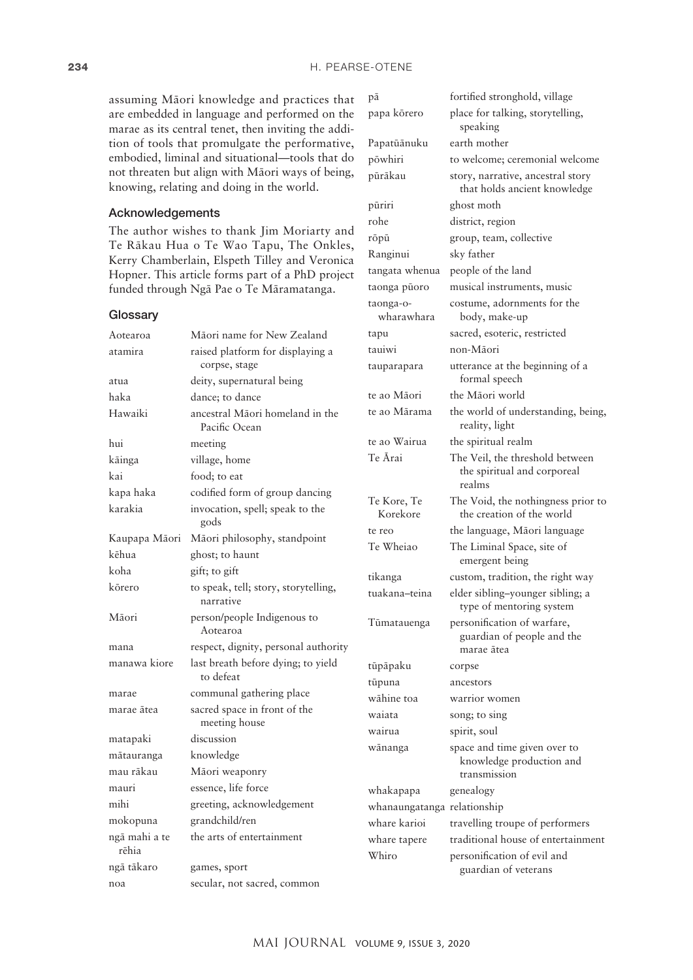pä fortified stronghold, village papa körero place for talking, storytelling, speaking

pöwhiri to welcome; ceremonial welcome püräkau story, narrative, ancestral story

that holds ancient knowledge

Papatüänuku earth mother

püriri ghost moth rohe district, region

Ranginui sky father

röpü group, team, collective

taonga püoro musical instruments, music

tangata whenua people of the land

assuming Mäori knowledge and practices that are embedded in language and performed on the marae as its central tenet, then inviting the addition of tools that promulgate the performative, embodied, liminal and situational—tools that do not threaten but align with Mäori ways of being, knowing, relating and doing in the world.

#### Acknowledgements

The author wishes to thank Jim Moriarty and Te Räkau Hua o Te Wao Tapu, The Onkles, Kerry Chamberlain, Elspeth Tilley and Veronica Hopner. This article forms part of a PhD project funded through Ngä Pae o Te Märamatanga.

|                                                  | taonga-o-<br>wharawhara                                                                                                                                                                                                                                                                | costume, adornments for the<br>body, make-up                                                                        |
|--------------------------------------------------|----------------------------------------------------------------------------------------------------------------------------------------------------------------------------------------------------------------------------------------------------------------------------------------|---------------------------------------------------------------------------------------------------------------------|
| Māori name for New Zealand                       | tapu                                                                                                                                                                                                                                                                                   | sacred, esoteric, restricted                                                                                        |
| raised platform for displaying a                 | tauiwi                                                                                                                                                                                                                                                                                 | non-Māori                                                                                                           |
| corpse, stage                                    | tauparapara                                                                                                                                                                                                                                                                            | utterance at the beginning of a<br>formal speech                                                                    |
|                                                  |                                                                                                                                                                                                                                                                                        | the Māori world                                                                                                     |
| ancestral Māori homeland in the<br>Pacific Ocean | te ao Mārama                                                                                                                                                                                                                                                                           | the world of understanding, being,<br>reality, light                                                                |
| meeting                                          | te ao Wairua                                                                                                                                                                                                                                                                           | the spiritual realm                                                                                                 |
| village, home                                    | Te Ārai                                                                                                                                                                                                                                                                                | The Veil, the threshold between                                                                                     |
| food; to eat                                     |                                                                                                                                                                                                                                                                                        | the spiritual and corporeal                                                                                         |
| codified form of group dancing                   |                                                                                                                                                                                                                                                                                        | realms                                                                                                              |
| invocation, spell; speak to the                  | Korekore                                                                                                                                                                                                                                                                               | The Void, the nothingness prior to<br>the creation of the world                                                     |
|                                                  | te reo                                                                                                                                                                                                                                                                                 | the language, Māori language                                                                                        |
| ghost; to haunt                                  |                                                                                                                                                                                                                                                                                        | The Liminal Space, site of<br>emergent being                                                                        |
|                                                  | tikanga                                                                                                                                                                                                                                                                                | custom, tradition, the right way                                                                                    |
| narrative                                        | tuakana–teina                                                                                                                                                                                                                                                                          | elder sibling-younger sibling; a<br>type of mentoring system                                                        |
| Aotearoa                                         | Tūmatauenga                                                                                                                                                                                                                                                                            | personification of warfare,<br>guardian of people and the                                                           |
|                                                  |                                                                                                                                                                                                                                                                                        | marae ātea                                                                                                          |
| to defeat                                        |                                                                                                                                                                                                                                                                                        | corpse                                                                                                              |
|                                                  |                                                                                                                                                                                                                                                                                        | ancestors<br>warrior women                                                                                          |
| sacred space in front of the                     |                                                                                                                                                                                                                                                                                        | song; to sing                                                                                                       |
| meeting house                                    |                                                                                                                                                                                                                                                                                        | spirit, soul                                                                                                        |
| discussion                                       |                                                                                                                                                                                                                                                                                        | space and time given over to                                                                                        |
| knowledge                                        |                                                                                                                                                                                                                                                                                        | knowledge production and                                                                                            |
| Māori weaponry                                   |                                                                                                                                                                                                                                                                                        | transmission                                                                                                        |
| essence, life force                              | whakapapa                                                                                                                                                                                                                                                                              | genealogy                                                                                                           |
| greeting, acknowledgement                        | whanaungatanga relationship                                                                                                                                                                                                                                                            |                                                                                                                     |
| grandchild/ren                                   | whare karioi                                                                                                                                                                                                                                                                           | travelling troupe of performers                                                                                     |
| the arts of entertainment                        | whare tapere                                                                                                                                                                                                                                                                           | traditional house of entertainment<br>personification of evil and                                                   |
| games, sport                                     |                                                                                                                                                                                                                                                                                        | guardian of veterans                                                                                                |
| secular, not sacred, common                      |                                                                                                                                                                                                                                                                                        |                                                                                                                     |
|                                                  | deity, supernatural being<br>dance; to dance<br>gods<br>Māori philosophy, standpoint<br>gift; to gift<br>to speak, tell; story, storytelling,<br>person/people Indigenous to<br>respect, dignity, personal authority<br>last breath before dying; to yield<br>communal gathering place | te ao Māori<br>Te Kore, Te<br>Te Wheiao<br>tūpāpaku<br>tūpuna<br>wāhine toa<br>waiata<br>wairua<br>wānanga<br>Whiro |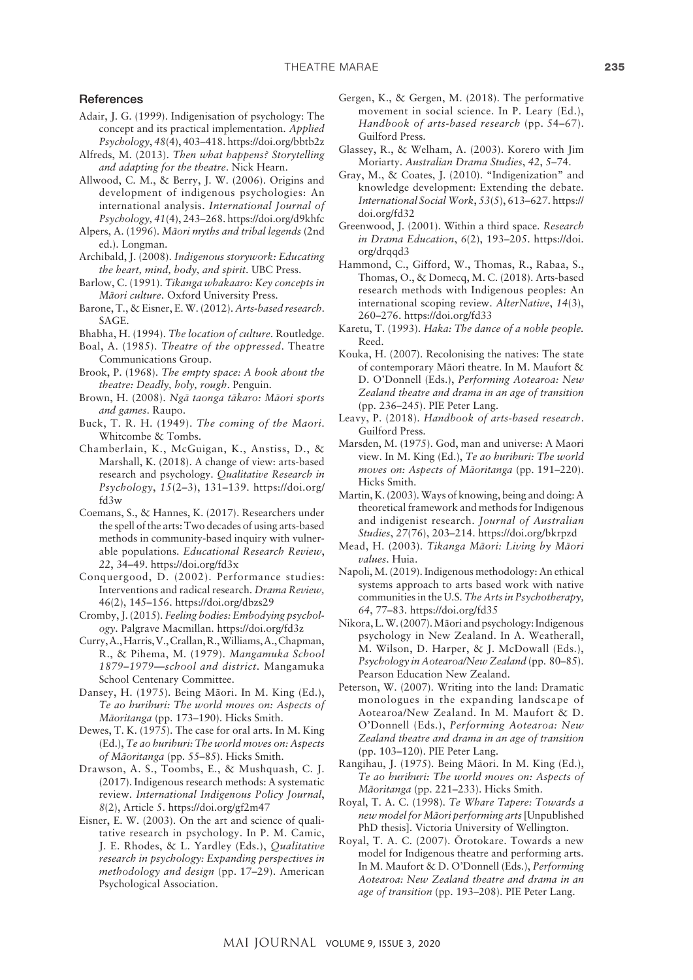#### **References**

- Adair, J. G. (1999). Indigenisation of psychology: The concept and its practical implementation. *Applied Psychology*, *48*(4), 403–418.<https://doi.org/bbtb2z>
- Alfreds, M. (2013). *Then what happens? Storytelling and adapting for the theatre*. Nick Hearn.
- Allwood, C. M., & Berry, J. W. (2006). Origins and development of indigenous psychologies: An international analysis. *International Journal of Psychology, 41*(4), 243–268.<https://doi.org/d9khfc>
- Alpers, A. (1996). *Mäori myths and tribal legends* (2nd ed.). Longman.
- Archibald, J. (2008). *Indigenous storywork: Educating the heart, mind, body, and spirit*. UBC Press.
- Barlow, C. (1991). *Tikanga whakaaro: Key concepts in Mäori culture*. Oxford University Press.
- Barone, T., & Eisner, E. W. (2012). *Arts-based research*. SAGE.
- Bhabha, H. (1994). *The location of culture*. Routledge.
- Boal, A. (1985). *Theatre of the oppressed*. Theatre Communications Group.
- Brook, P. (1968). *The empty space: A book about the theatre: Deadly, holy, rough*. Penguin.
- Brown, H. (2008). *Ngä taonga täkaro: Mäori sports and games*. Raupo.
- Buck, T. R. H. (1949). *The coming of the Maori*. Whitcombe & Tombs.
- Chamberlain, K., McGuigan, K., Anstiss, D., & Marshall, K. (2018). A change of view: arts-based research and psychology. *Qualitative Research in Psychology*, *15*(2–3), 131–139. [https://doi.org/](https://doi.org/fd3w) [fd3w](https://doi.org/fd3w)
- Coemans, S., & Hannes, K. (2017). Researchers under the spell of the arts: Two decades of using arts-based methods in community-based inquiry with vulnerable populations. *Educational Research Review*, *22*, 34–49. <https://doi.org/fd3x>
- Conquergood, D. (2002). Performance studies: Interventions and radical research. *Drama Review,*  46(2), 145–156. <https://doi.org/dbzs29>
- Cromby, J. (2015). *Feeling bodies: Embodying psychology*. Palgrave Macmillan. <https://doi.org/fd3z>
- Curry, A., Harris, V., Crallan, R., Williams, A., Chapman, R., & Pihema, M. (1979). *Mangamuka School 1879–1979—school and district*. Mangamuka School Centenary Committee.
- Dansey, H. (1975). Being Mäori. In M. King (Ed.), *Te ao hurihuri: The world moves on: Aspects of Mäoritanga* (pp. 173–190). Hicks Smith.
- Dewes, T. K. (1975). The case for oral arts. In M. King (Ed.), *Te ao hurihuri: The world moves on: Aspects of Mäoritanga* (pp. 55–85). Hicks Smith.
- Drawson, A. S., Toombs, E., & Mushquash, C. J. (2017). Indigenous research methods: A systematic review. *International Indigenous Policy Journal*, *8*(2), Article 5. <https://doi.org/gf2m47>
- Eisner, E. W. (2003). On the art and science of qualitative research in psychology. In P. M. Camic, J. E. Rhodes, & L. Yardley (Eds.), *Qualitative research in psychology: Expanding perspectives in methodology and design* (pp. 17–29). American Psychological Association.
- Gergen, K., & Gergen, M. (2018). The performative movement in social science. In P. Leary (Ed.), *Handbook of arts-based research* (pp. 54–67). Guilford Press.
- Glassey, R., & Welham, A. (2003). Korero with Jim Moriarty. *Australian Drama Studies*, *42*, 5–74.
- Gray, M., & Coates, J. (2010). "Indigenization" and knowledge development: Extending the debate. *International Social Work*, *53*(5), 613–627. [https://](https://doi.org/fd32) [doi.org/fd32](https://doi.org/fd32)
- Greenwood, J. (2001). Within a third space. *Research in Drama Education*, *6*(2), 193–205. [https://doi.](https://doi.org/drqqd3) org/draad3
- Hammond, C., Gifford, W., Thomas, R., Rabaa, S., Thomas, O., & Domecq, M. C. (2018). Arts-based research methods with Indigenous peoples: An international scoping review. *AlterNative*, *14*(3), 260–276.<https://doi.org/fd33>
- Karetu, T. (1993). *Haka: The dance of a noble people.*  Reed.
- Kouka, H. (2007). Recolonising the natives: The state of contemporary Mäori theatre. In M. Maufort & D. O'Donnell (Eds.), *Performing Aotearoa: New Zealand theatre and drama in an age of transition* (pp. 236–245). PIE Peter Lang.
- Leavy, P. (2018). *Handbook of arts-based research*. Guilford Press.
- Marsden, M. (1975). God, man and universe: A Maori view. In M. King (Ed.), *Te ao hurihuri: The world moves on: Aspects of Mäoritanga* (pp. 191–220). Hicks Smith.
- Martin, K. (2003). Ways of knowing, being and doing: A theoretical framework and methods for Indigenous and indigenist research. *Journal of Australian Studies*, *27*(76), 203–214. <https://doi.org/bkrpzd>
- Mead, H. (2003). *Tikanga Mäori: Living by Mäori values*. Huia.
- Napoli, M. (2019). Indigenous methodology: An ethical systems approach to arts based work with native communities in the U.S. *The Arts in Psychotherapy, 64*, 77–83.<https://doi.org/fd35>
- Nikora, L. W. (2007). Mäori and psychology: Indigenous psychology in New Zealand. In A. Weatherall, M. Wilson, D. Harper, & J. McDowall (Eds.), *Psychology in Aotearoa/New Zealand* (pp. 80–85). Pearson Education New Zealand.
- Peterson, W. (2007). Writing into the land: Dramatic monologues in the expanding landscape of Aotearoa/New Zealand. In M. Maufort & D. O'Donnell (Eds.), *Performing Aotearoa: New Zealand theatre and drama in an age of transition* (pp. 103–120). PIE Peter Lang.
- Rangihau, J. (1975). Being Mäori. In M. King (Ed.), *Te ao hurihuri: The world moves on: Aspects of Mäoritanga* (pp. 221–233). Hicks Smith.
- Royal, T. A. C. (1998). *Te Whare Tapere: Towards a new model for Mäori performing arts* [Unpublished PhD thesis]. Victoria University of Wellington.
- Royal, T. A. C. (2007). Örotokare. Towards a new model for Indigenous theatre and performing arts. In M. Maufort & D. O'Donnell (Eds.), *Performing Aotearoa: New Zealand theatre and drama in an age of transition* (pp. 193–208). PIE Peter Lang.